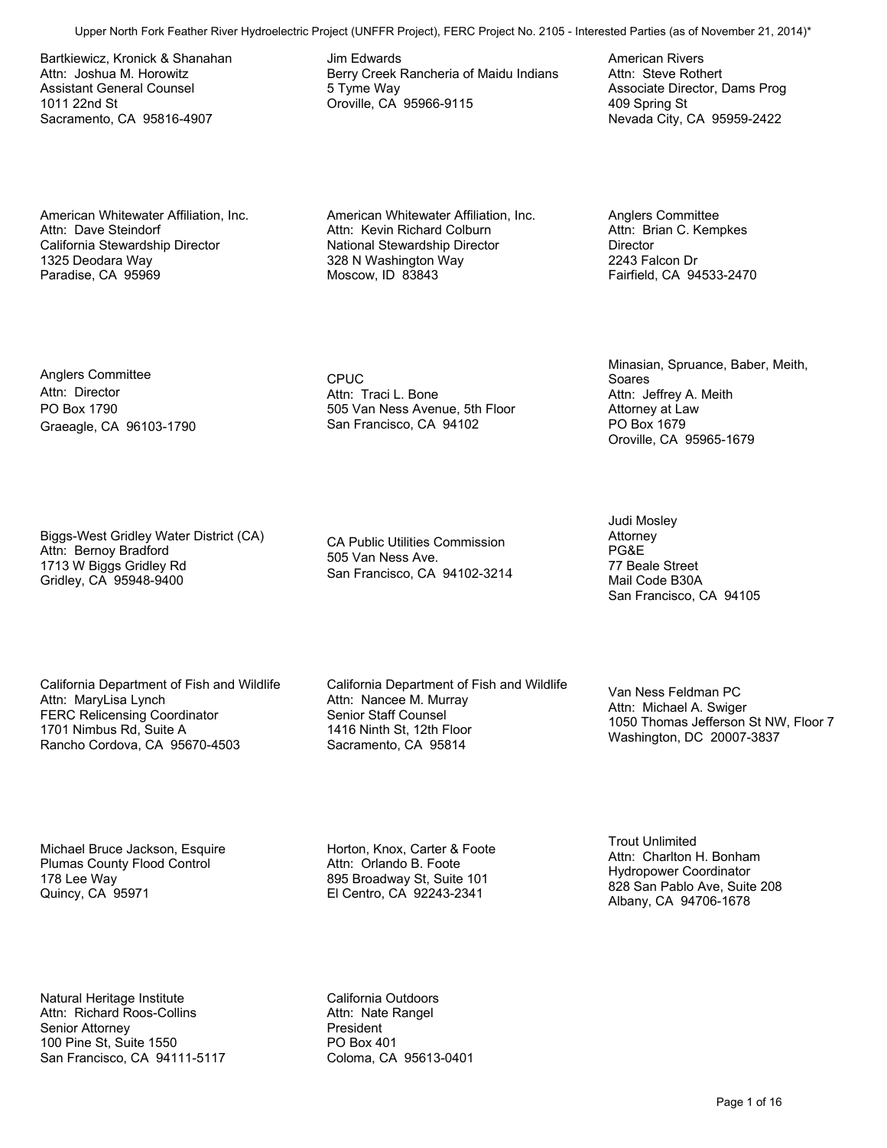Bartkiewicz, Kronick & Shanahan Attn: Joshua M. Horowitz Assistant General Counsel 1011 22nd St Sacramento, CA 95816-4907

American Whitewater Affiliation, Inc. Attn: Dave Steindorf California Stewardship Director 1325 Deodara Way Paradise, CA 95969

Anglers Committee Attn: Director PO Box 1790

Graeagle, CA 96103-1790

Attn: Bernoy Bradford 1713 W Biggs Gridley Rd Gridley, CA 95948-9400

Jim Edwards Berry Creek Rancheria of Maidu Indians 5 Tyme Way Oroville, CA 95966-9115

American Whitewater Affiliation, Inc.

CPUC Attn: Traci L. Bone 505 Van Ness Avenue, 5th Floor San Francisco, CA 94102

CA Public Utilities Commission 505 Van Ness Ave. San Francisco, CA 94102-3214

California Department of Fish and Wildlife Attn: MaryLisa Lynch FERC Relicensing Coordinator 1701 Nimbus Rd, Suite A Rancho Cordova, CA 95670-4503

Biggs-West Gridley Water District (CA)

California Department of Fish and Wildlife Attn: Nancee M. Murray Senior Staff Counsel 1416 Ninth St, 12th Floor Sacramento, CA 95814 Upper North Fork Formulae Control (Michael Control (Michael Control Control Control Control Control Control Control Control Control Control Control Control Control Control Control Control Control Control Control Control C

Washington, DC 20007-3837

1050 Thomas Jefferson St NW, Floor 7

Michael Bruce Jackson, Esquire Plumas County Flood Control 178 Lee Way Quincy, CA 95971

Natural Heritage Institute Attn: Richard Roos-Collins Senior Attorney 100 Pine St, Suite 1550 San Francisco, CA 94111-5117 California Outdoors Attn: Nate Rangel President PO Box 401 Coloma, CA 95613-0401

Horton, Knox, Carter & Foote Attn: Orlando B. Foote 895 Broadway St, Suite 101 El Centro, CA 92243-2341

Trout Unlimited Attn: Charlton H. Bonham Hydropower Coordinator 828 San Pablo Ave, Suite 208 Albany, CA 94706-1678

Judi Mosley Attorney PG&E 77 Beale Street Mail Code B30A

Van Ness Feldman PC Attn: Michael A. Swiger

San Francisco, CA 94105

Minasian, Spruance, Baber, Meith,

Soares

**Director** 2243 Falcon Dr

Attn: Kevin Richard Colburn National Stewardship Director 328 N Washington Way Moscow, ID 83843

American Rivers Attn: Steve Rothert Associate Director, Dams Prog 409 Spring St Nevada City, CA 95959-2422

Anglers Committee Attn: Brian C. Kempkes

Fairfield, CA 94533-2470

Attn: Jeffrey A. Meith Attorney at Law PO Box 1679

Oroville, CA 95965-1679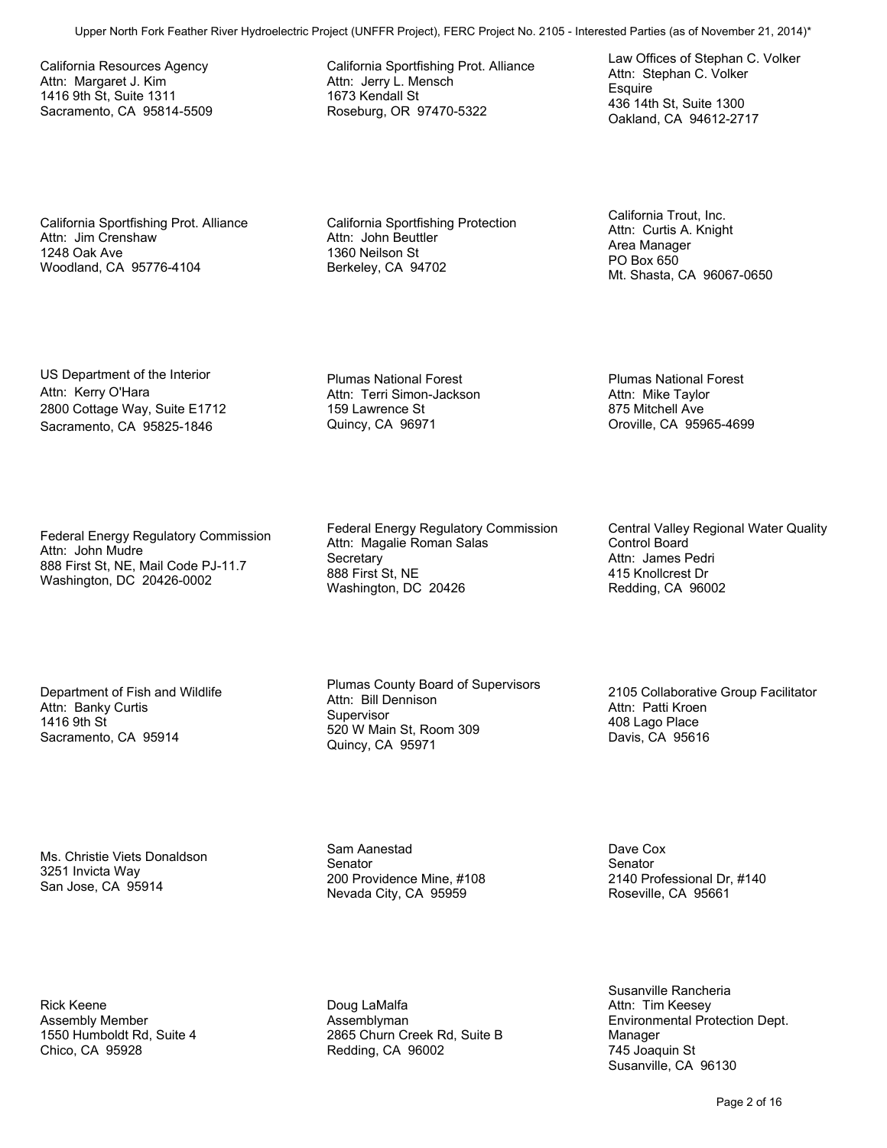California Resources Agency Attn: Margaret J. Kim 1416 9th St, Suite 1311 Sacramento, CA 95814-5509 California Sportfishing Prot. Alliance Attn: Jerry L. Mensch 1673 Kendall St Roseburg, OR 97470-5322

Law Offices of Stephan C. Volker Attn: Stephan C. Volker **Esquire** 436 14th St, Suite 1300 Oakland, CA 94612-2717

California Sportfishing Prot. Alliance Attn: Jim Crenshaw 1248 Oak Ave Woodland, CA 95776-4104

California Sportfishing Protection Attn: John Beuttler 1360 Neilson St Berkeley, CA 94702

California Trout, Inc. Attn: Curtis A. Knight Area Manager PO Box 650 Mt. Shasta, CA 96067-0650

Plumas National Forest Attn: Mike Taylor 875 Mitchell Ave

Oroville, CA 95965-4699

US Department of the Interior Attn: Kerry O'Hara 2800 Cottage Way, Suite E1712 Sacramento, CA 95825-1846

Federal Energy Regulatory Commission Attn: John Mudre 888 First St, NE, Mail Code PJ-11.7 Washington, DC 20426-0002

Department of Fish and Wildlife Attn: Banky Curtis 1416 9th St Sacramento, CA 95914

Ms. Christie Viets Donaldson 3251 Invicta Way San Jose, CA 95914

Rick Keene Assembly Member 1550 Humboldt Rd, Suite 4 Chico, CA 95928

Plumas National Forest Attn: Terri Simon-Jackson 159 Lawrence St Quincy, CA 96971

Federal Energy Regulatory Commission Attn: Magalie Roman Salas **Secretary** 888 First St, NE Washington, DC 20426 Upper North Form Law State Foreign River Hydroelectric Project North Foreign Project (UNFFR Project North Foreign Contact North Foreign Project No. 2105 - Interested Parties (As a strength of North Foreign Project No. 210

Plumas County Board of Supervisors Attn: Bill Dennison **Supervisor** 520 W Main St, Room 309 Quincy, CA 95971

Sam Aanestad Senator 200 Providence Mine, #108 Nevada City, CA 95959

Doug LaMalfa Assemblyman 2865 Churn Creek Rd, Suite B Redding, CA 96002

Central Valley Regional Water Quality Control Board Attn: James Pedri 415 Knollcrest Dr Redding, CA 96002

2105 Collaborative Group Facilitator Attn: Patti Kroen 408 Lago Place Davis, CA 95616

Dave Cox **Senator** 2140 Professional Dr, #140 Roseville, CA 95661

Susanville Rancheria Attn: Tim Keesey Environmental Protection Dept. Manager 745 Joaquin St Susanville, CA 96130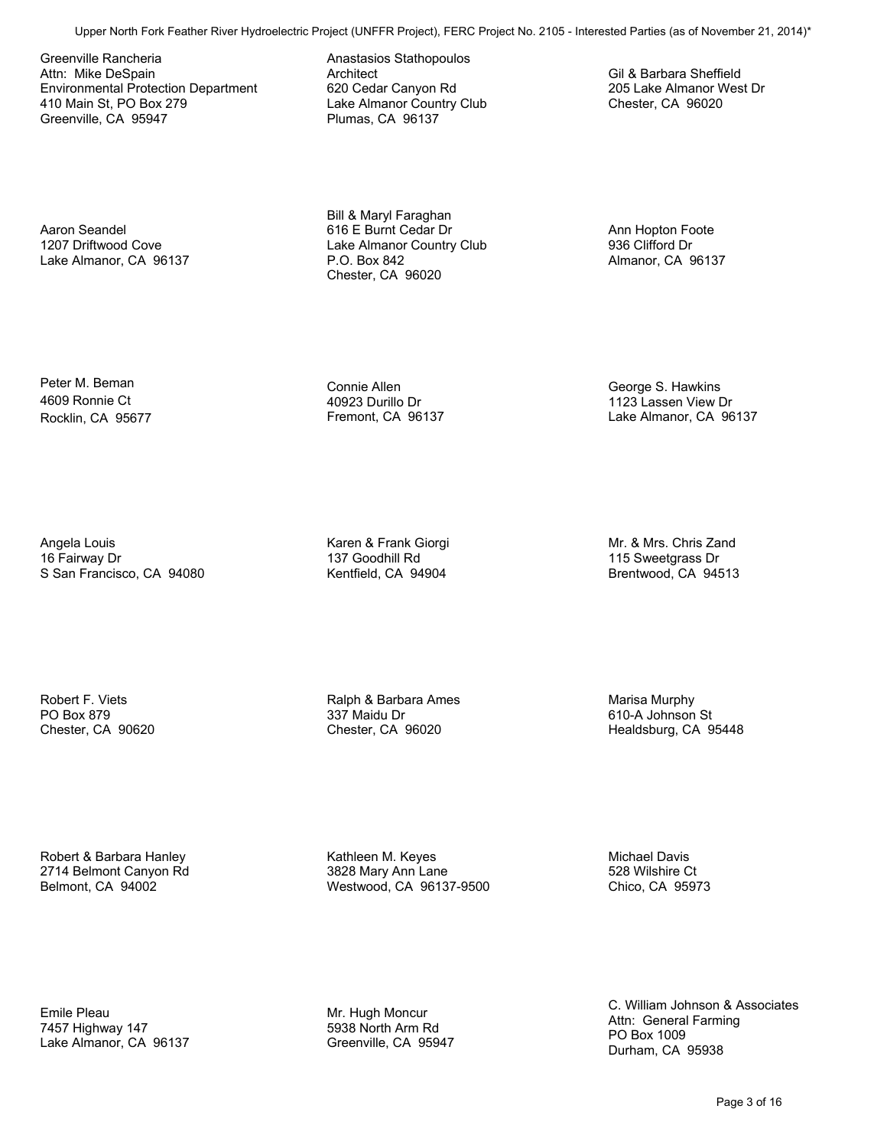Greenville Rancheria Attn: Mike DeSpain Environmental Protection Department 410 Main St, PO Box 279 Greenville, CA 95947 Upper North Fork Formulation of the Control Control Control Control Control Control Control Control Control Control Control Control Control Control Control Control Control Control Control Control Control Control Control Co

Aaron Seandel 1207 Driftwood Cove Lake Almanor, CA 96137 Anastasios Stathopoulos Architect 620 Cedar Canyon Rd Lake Almanor Country Club Plumas, CA 96137

Bill & Maryl Faraghan 616 E Burnt Cedar Dr Lake Almanor Country Club P.O. Box 842 Chester, CA 96020

Ann Hopton Foote 936 Clifford Dr Almanor, CA 96137

George S. Hawkins 1123 Lassen View Dr Lake Almanor, CA 96137

Gil & Barbara Sheffield 205 Lake Almanor West Dr Chester, CA 96020

Peter M. Beman 4609 Ronnie Ct Rocklin, CA 95677

Angela Louis 16 Fairway Dr

S San Francisco, CA 94080

40923 Durillo Dr Fremont, CA 96137

Connie Allen

Karen & Frank Giorgi 137 Goodhill Rd Kentfield, CA 94904

Mr. & Mrs. Chris Zand 115 Sweetgrass Dr Brentwood, CA 94513

Robert F. Viets PO Box 879 Chester, CA 90620 Ralph & Barbara Ames 337 Maidu Dr Chester, CA 96020

Marisa Murphy 610-A Johnson St Healdsburg, CA 95448

Robert & Barbara Hanley 2714 Belmont Canyon Rd Belmont, CA 94002

Kathleen M. Keyes 3828 Mary Ann Lane Westwood, CA 96137-9500

Michael Davis 528 Wilshire Ct Chico, CA 95973

Emile Pleau 7457 Highway 147 Lake Almanor, CA 96137

Mr. Hugh Moncur 5938 North Arm Rd Greenville, CA 95947 C. William Johnson & Associates Attn: General Farming PO Box 1009 Durham, CA 95938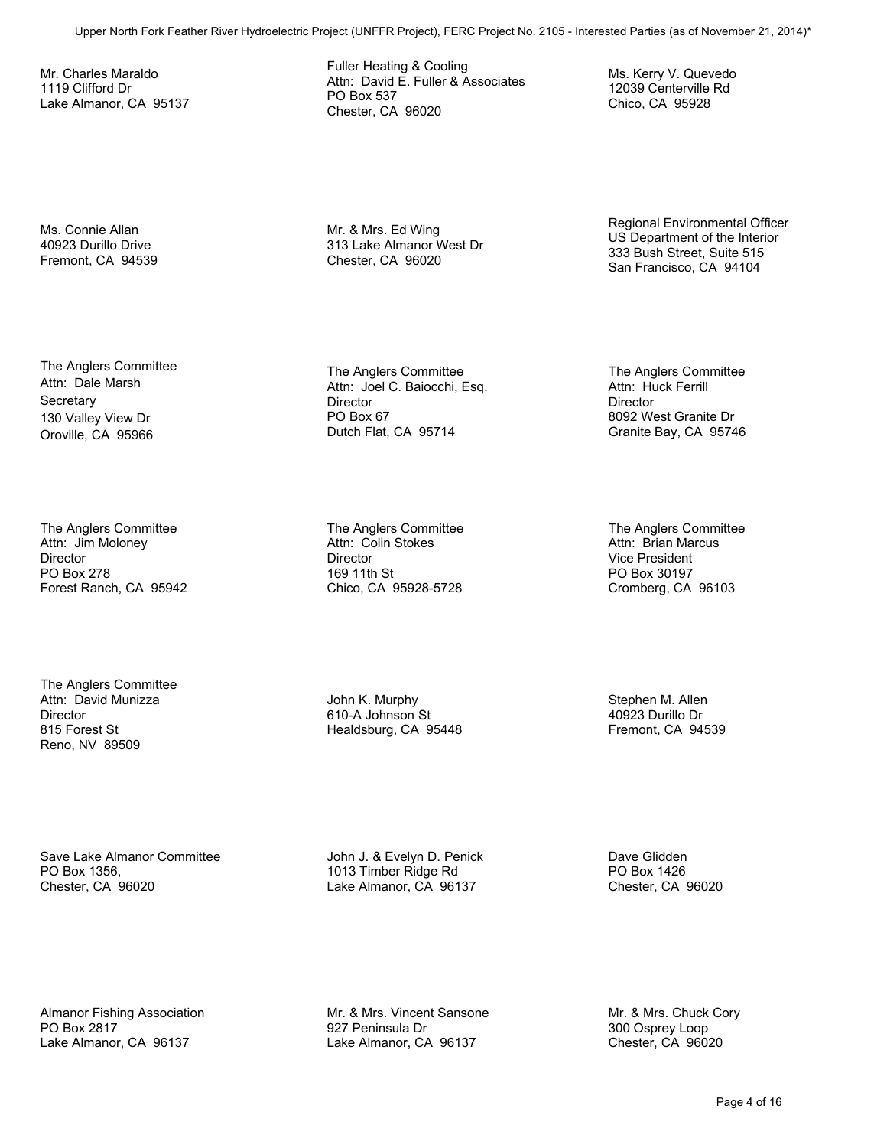Mr. Charles Maraldo 1119 Clifford Dr Lake Almanor, CA 95137 Fuller Heating & Cooling Attn: David E. Fuller & Associates PO Box 537 Chester, CA 96020

Mr. & Mrs. Ed Wing 313 Lake Almanor West Dr Chester, CA 96020

12039 Centerville Rd Chico, CA 95928

Regional Environmental Officer US Department of the Interior 333 Bush Street, Suite 515 San Francisco, CA 94104

Ms. Kerry V. Quevedo

Ms. Connie Allan 40923 Durillo Drive Fremont, CA 94539

The Anglers Committee Attn: Dale Marsh **Secretary** 130 Valley View Dr Oroville, CA 95966

The Anglers Committee Attn: Jim Moloney **Director** PO Box 278 Forest Ranch, CA 95942

The Anglers Committee Attn: David Munizza **Director** 815 Forest St Reno, NV 89509

The Anglers Committee Attn: Joel C. Baiocchi, Esq. **Director** PO Box 67 Dutch Flat, CA 95714 Upper Communities<br>
Upper North Form For Manufacture (UNFFR Principal ACoustic Projects of North Form Projects Consider<br>
Upper North Form Considered Project Transfer A Bookshapes<br>
Upper No. 21<br>
Upper No. 21<br>
Upper North For

The Anglers Committee Attn: Colin Stokes **Director** 169 11th St Chico, CA 95928-5728

John K. Murphy 610-A Johnson St Healdsburg, CA 95448 The Anglers Committee Attn: Huck Ferrill **Director** 8092 West Granite Dr Granite Bay, CA 95746

The Anglers Committee Attn: Brian Marcus Vice President PO Box 30197 Cromberg, CA 96103

Stephen M. Allen 40923 Durillo Dr Fremont, CA 94539

Save Lake Almanor Committee PO Box 1356, Chester, CA 96020

John J. & Evelyn D. Penick 1013 Timber Ridge Rd Lake Almanor, CA 96137

Dave Glidden PO Box 1426 Chester, CA 96020

Almanor Fishing Association PO Box 2817 Lake Almanor, CA 96137

Mr. & Mrs. Vincent Sansone 927 Peninsula Dr Lake Almanor, CA 96137

Mr. & Mrs. Chuck Cory 300 Osprey Loop Chester, CA 96020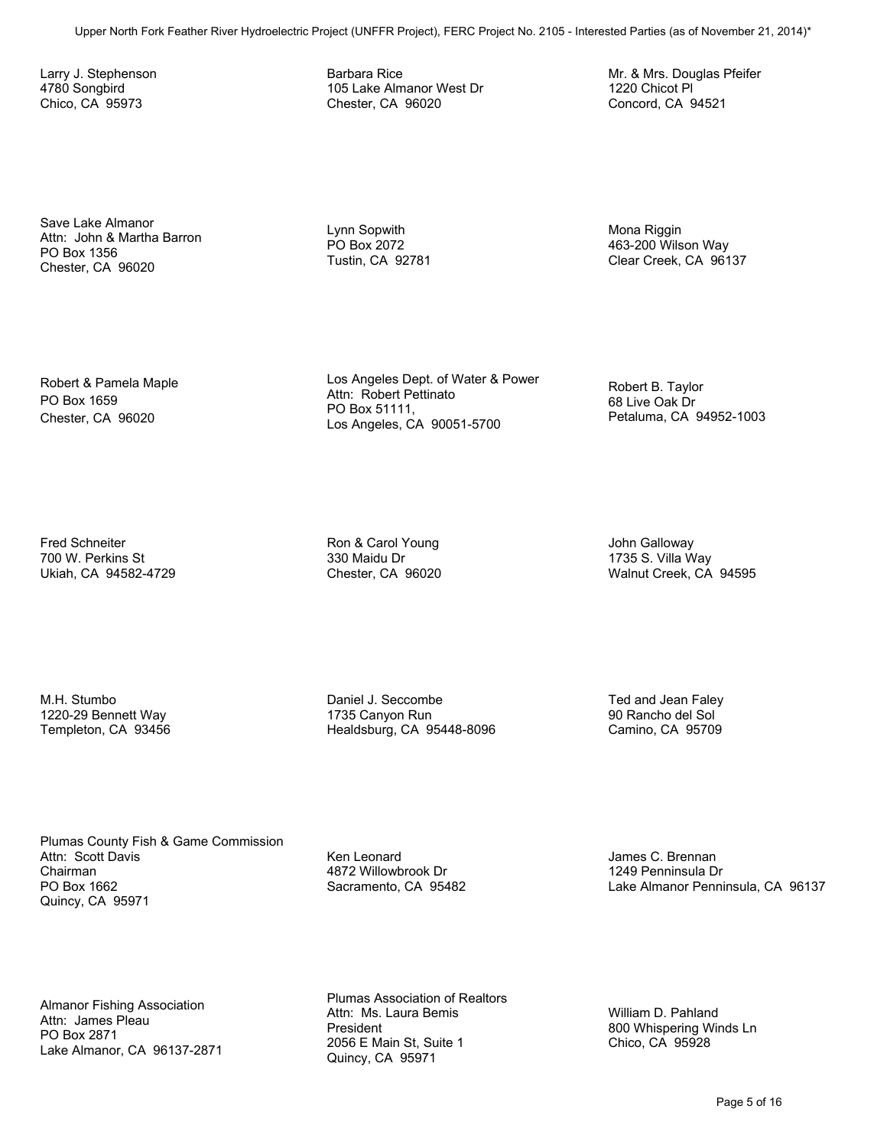Larry J. Stephenson 4780 Songbird Chico, CA 95973

Barbara Rice 105 Lake Almanor West Dr Chester, CA 96020

Mr. & Mrs. Douglas Pfeifer 1220 Chicot Pl Concord, CA 94521

Save Lake Almanor Attn: John & Martha Barron PO Box 1356 Chester, CA 96020

Lynn Sopwith PO Box 2072 Tustin, CA 92781 Mona Riggin 463-200 Wilson Way Clear Creek, CA 96137

Robert & Pamela Maple PO Box 1659 Chester, CA 96020

Los Angeles Dept. of Water & Power Attn: Robert Pettinato PO Box 51111, Los Angeles, CA 90051-5700

Robert B. Taylor 68 Live Oak Dr Petaluma, CA 94952-1003

Fred Schneiter 700 W. Perkins St Ukiah, CA 94582-4729 Ron & Carol Young 330 Maidu Dr Chester, CA 96020 John Galloway 1735 S. Villa Way Walnut Creek, CA 94595

M.H. Stumbo 1220-29 Bennett Way Templeton, CA 93456 Daniel J. Seccombe 1735 Canyon Run Healdsburg, CA 95448-8096

Ted and Jean Faley 90 Rancho del Sol Camino, CA 95709

Plumas County Fish & Game Commission Attn: Scott Davis Chairman PO Box 1662 Quincy, CA 95971 Upper North Formula filter the Southern Formula (CAP) The Hydroelectric Projectric Projectric Projectric Project<br>
Upper Second Context Formula (UNFFR Projectric Projectric Projectric Projectric Projectric Projectric Projec

Ken Leonard 4872 Willowbrook Dr Sacramento, CA 95482

James C. Brennan 1249 Penninsula Dr Lake Almanor Penninsula, CA 96137

Almanor Fishing Association Attn: James Pleau PO Box 2871 Lake Almanor, CA 96137-2871 Plumas Association of Realtors Attn: Ms. Laura Bemis President 2056 E Main St, Suite 1 Quincy, CA 95971

William D. Pahland 800 Whispering Winds Ln Chico, CA 95928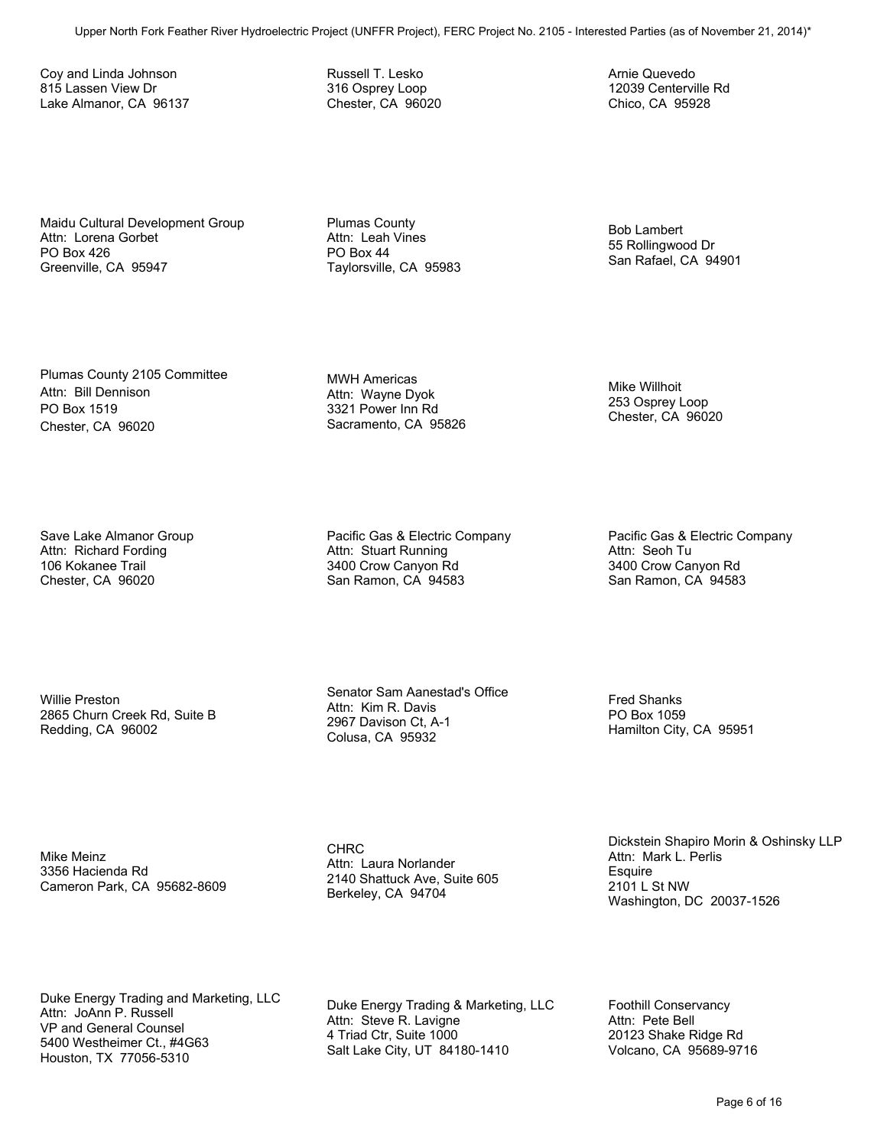Coy and Linda Johnson 815 Lassen View Dr Lake Almanor, CA 96137 Russell T. Lesko 316 Osprey Loop Chester, CA 96020 Arnie Quevedo 12039 Centerville Rd Chico, CA 95928

Maidu Cultural Development Group Attn: Lorena Gorbet PO Box 426 Greenville, CA 95947

Plumas County Attn: Leah Vines PO Box 44 Taylorsville, CA 95983

Bob Lambert 55 Rollingwood Dr San Rafael, CA 94901

Mike Willhoit 253 Osprey Loop Chester, CA 96020

Plumas County 2105 Committee Attn: Bill Dennison PO Box 1519 Chester, CA 96020

Save Lake Almanor Group Attn: Richard Fording 106 Kokanee Trail Chester, CA 96020

Willie Preston 2865 Churn Creek Rd, Suite B Redding, CA 96002

MWH Americas Attn: Wayne Dyok 3321 Power Inn Rd Sacramento, CA 95826

Pacific Gas & Electric Company Attn: Stuart Running 3400 Crow Canyon Rd San Ramon, CA 94583

Senator Sam Aanestad's Office Attn: Kim R. Davis 2967 Davison Ct, A-1 Colusa, CA 95932

Pacific Gas & Electric Company Attn: Seoh Tu 3400 Crow Canyon Rd San Ramon, CA 94583

Fred Shanks PO Box 1059 Hamilton City, CA 95951

Mike Meinz 3356 Hacienda Rd Cameron Park, CA 95682-8609 CHRC Attn: Laura Norlander 2140 Shattuck Ave, Suite 605 Berkeley, CA 94704

Dickstein Shapiro Morin & Oshinsky LLP Attn: Mark L. Perlis **Esquire** 2101 L St NW Washington, DC 20037-1526

Duke Energy Trading and Marketing, LLC Attn: JoAnn P. Russell VP and General Counsel 5400 Westheimer Ct., #4G63 Houston, TX 77056-5310 Upper North Fork Fork For Market Force 10, 1992<br>
Upper North Form Hydroelectric Projectric Projectric Projectric Projectric Projectric Projectric Projectric Project<br>
No. 2105 - Interested Parties (As of November 21, 2013)<br>

Duke Energy Trading & Marketing, LLC Attn: Steve R. Lavigne 4 Triad Ctr, Suite 1000 Salt Lake City, UT 84180-1410

Foothill Conservancy Attn: Pete Bell 20123 Shake Ridge Rd Volcano, CA 95689-9716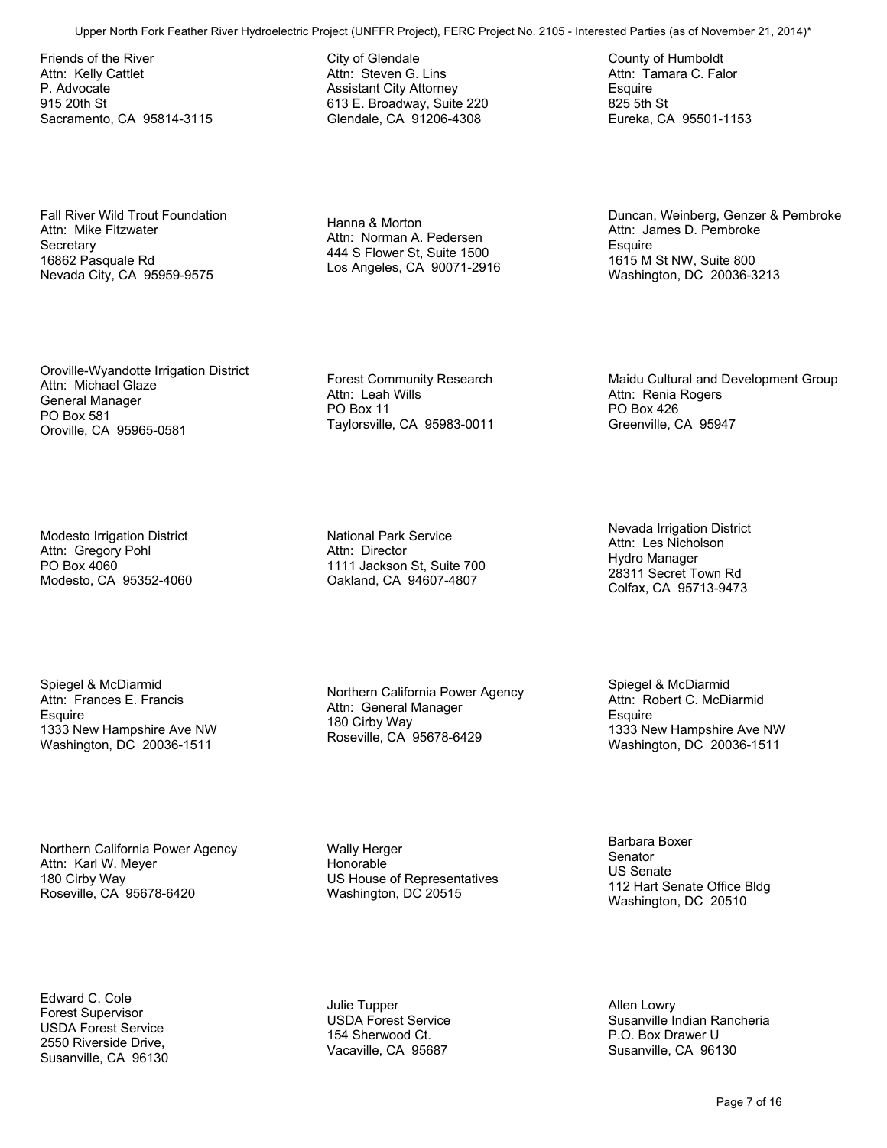Friends of the River Attn: Kelly Cattlet P. Advocate 915 20th St Sacramento, CA 95814-3115

Fall River Wild Trout Foundation Attn: Mike Fitzwater **Secretary** 16862 Pasquale Rd Nevada City, CA 95959-9575

City of Glendale Attn: Steven G. Lins Assistant City Attorney 613 E. Broadway, Suite 220 Glendale, CA 91206-4308

Hanna & Morton Attn: Norman A. Pedersen 444 S Flower St, Suite 1500 Los Angeles, CA 90071-2916

Duncan, Weinberg, Genzer & Pembroke Attn: James D. Pembroke **Esquire** 1615 M St NW, Suite 800 Washington, DC 20036-3213 Upper North Forms Force Controllers (North Forms Force Trans Feather River Associates (North Forms Force Trans Feather Project No. 2105)<br>
Upper No. 2105 - Interested Parties (as a strength of North Force Trans Controllers

Maidu Cultural and Development Group

County of Humboldt Attn: Tamara C. Falor

Eureka, CA 95501-1153

**Esquire** 825 5th St

Oroville-Wyandotte Irrigation District Attn: Michael Glaze General Manager PO Box 581 Oroville, CA 95965-0581

Modesto Irrigation District Attn: Gregory Pohl PO Box 4060 Modesto, CA 95352-4060

Spiegel & McDiarmid Attn: Frances E. Francis **Esquire** 1333 New Hampshire Ave NW Washington, DC 20036-1511

Northern California Power Agency Attn: Karl W. Meyer 180 Cirby Way Roseville, CA 95678-6420

Edward C. Cole Forest Supervisor USDA Forest Service 2550 Riverside Drive, Susanville, CA 96130 Forest Community Research Attn: Leah Wills PO Box 11 Taylorsville, CA 95983-0011

National Park Service Attn: Director 1111 Jackson St, Suite 700 Oakland, CA 94607-4807

Northern California Power Agency Attn: General Manager 180 Cirby Way Roseville, CA 95678-6429

Wally Herger Honorable US House of Representatives Washington, DC 20515

Julie Tupper USDA Forest Service 154 Sherwood Ct. Vacaville, CA 95687

Nevada Irrigation District Attn: Les Nicholson Hydro Manager 28311 Secret Town Rd

Colfax, CA 95713-9473

Attn: Renia Rogers PO Box 426

Greenville, CA 95947

Spiegel & McDiarmid Attn: Robert C. McDiarmid **Esquire** 1333 New Hampshire Ave NW Washington, DC 20036-1511

Barbara Boxer **Senator** US Senate 112 Hart Senate Office Bldg Washington, DC 20510

Allen Lowry Susanville Indian Rancheria P.O. Box Drawer U Susanville, CA 96130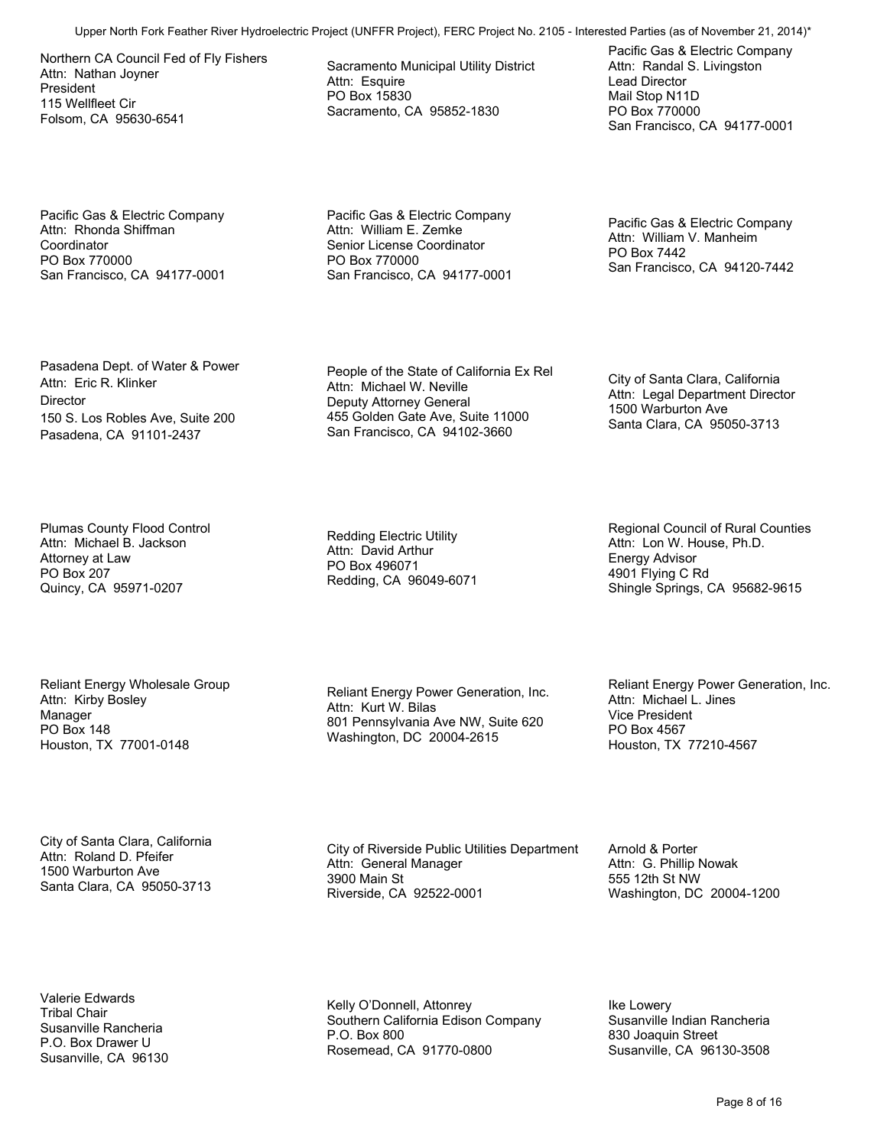Northern CA Council Fed of Fly Fishers Attn: Nathan Joyner President 115 Wellfleet Cir Folsom, CA 95630-6541

Pacific Gas & Electric Company Attn: Rhonda Shiffman **Coordinator** PO Box 770000 San Francisco, CA 94177-0001 Sacramento Municipal Utility District Attn: Esquire PO Box 15830 Sacramento, CA 95852-1830

Pacific Gas & Electric Company Attn: Randal S. Livingston Lead Director Mail Stop N11D PO Box 770000 San Francisco, CA 94177-0001

Pacific Gas & Electric Company Attn: William E. Zemke Senior License Coordinator PO Box 770000 San Francisco, CA 94177-0001

Pacific Gas & Electric Company Attn: William V. Manheim PO Box 7442 San Francisco, CA 94120-7442

Pasadena Dept. of Water & Power Attn: Eric R. Klinker **Director** 150 S. Los Robles Ave, Suite 200 Pasadena, CA 91101-2437

Plumas County Flood Control Attn: Michael B. Jackson Attorney at Law PO Box 207 Quincy, CA 95971-0207

Reliant Energy Wholesale Group Attn: Kirby Bosley Manager PO Box 148 Houston, TX 77001-0148

City of Santa Clara, California Attn: Roland D. Pfeifer 1500 Warburton Ave Santa Clara, CA 95050-3713

Valerie Edwards Tribal Chair Susanville Rancheria P.O. Box Drawer U Susanville, CA 96130

People of the State of California Ex Rel Attn: Michael W. Neville Deputy Attorney General 455 Golden Gate Ave, Suite 11000 San Francisco, CA 94102-3660 Upper North Fork Feather River For Michael Counter Counter The River Hydroen Counter The Counter The Counter of the Counter of The Counter of The Counter of The Counter of The Counter of The Counter of The Counter of The

Redding Electric Utility Attn: David Arthur PO Box 496071 Redding, CA 96049-6071

Reliant Energy Power Generation, Inc. Attn: Kurt W. Bilas 801 Pennsylvania Ave NW, Suite 620 Washington, DC 20004-2615

City of Santa Clara, California Attn: Legal Department Director

Santa Clara, CA 95050-3713

1500 Warburton Ave

Regional Council of Rural Counties Attn: Lon W. House, Ph.D. Energy Advisor 4901 Flying C Rd Shingle Springs, CA 95682-9615

Reliant Energy Power Generation, Inc. Attn: Michael L. Jines Vice President PO Box 4567 Houston, TX 77210-4567

City of Riverside Public Utilities Department Attn: General Manager 3900 Main St Riverside, CA 92522-0001

Arnold & Porter Attn: G. Phillip Nowak 555 12th St NW Washington, DC 20004-1200

Kelly O'Donnell, Attonrey Southern California Edison Company P.O. Box 800 Rosemead, CA 91770-0800

Ike Lowery Susanville Indian Rancheria 830 Joaquin Street Susanville, CA 96130-3508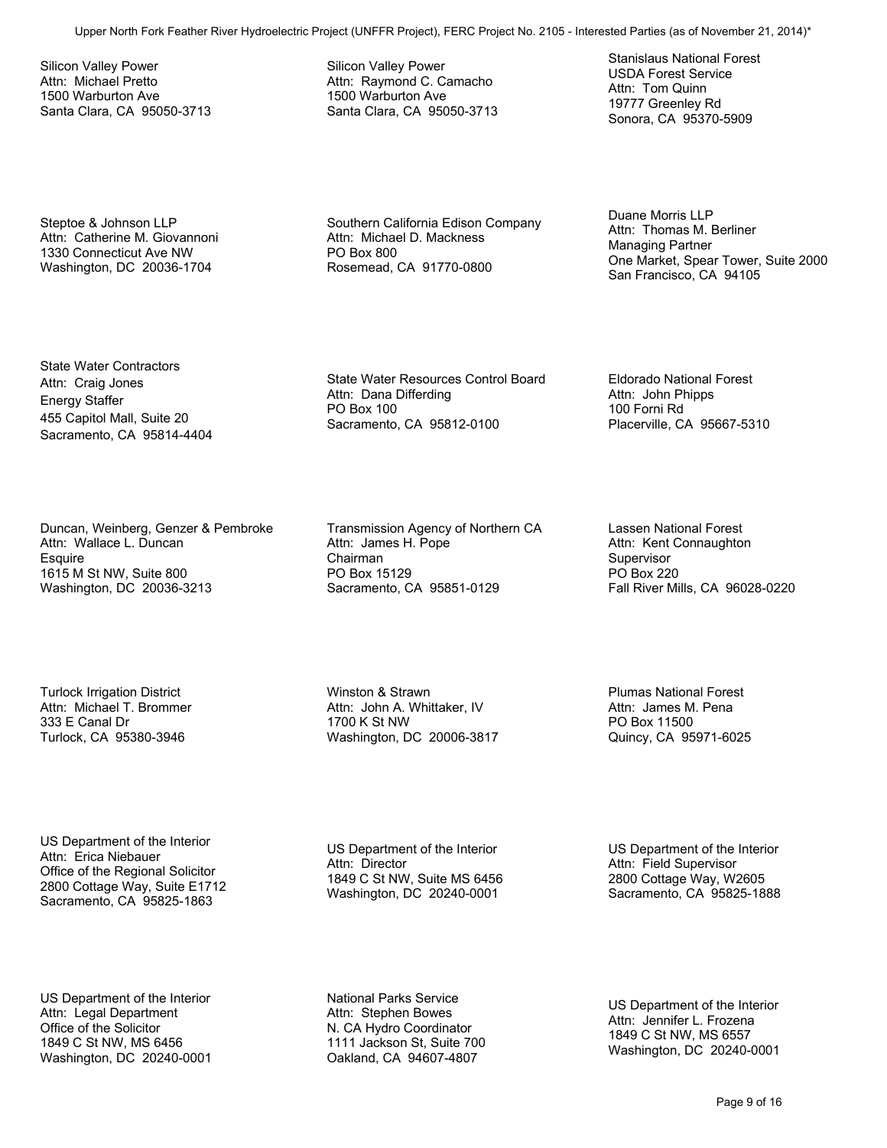Silicon Valley Power Attn: Michael Pretto 1500 Warburton Ave Santa Clara, CA 95050-3713 Silicon Valley Power Attn: Raymond C. Camacho 1500 Warburton Ave Santa Clara, CA 95050-3713 Stanislaus National Forest USDA Forest Service Attn: Tom Quinn 19777 Greenley Rd Sonora, CA 95370-5909

Steptoe & Johnson LLP Attn: Catherine M. Giovannoni 1330 Connecticut Ave NW Washington, DC 20036-1704

Southern California Edison Company Attn: Michael D. Mackness PO Box 800 Rosemead, CA 91770-0800

Duane Morris LLP Attn: Thomas M. Berliner Managing Partner One Market, Spear Tower, Suite 2000 San Francisco, CA 94105 Upper North Forms II and The Project Computer Hydroelectric Project (UNFFR Project Text), FERC Project Text), FERC Project Text<br>
Model Project Computer Computer Computer Computer Computer Computer Computer Computer Compute

State Water Contractors Attn: Craig Jones Energy Staffer 455 Capitol Mall, Suite 20 Sacramento, CA 95814-4404

Duncan, Weinberg, Genzer & Pembroke Attn: Wallace L. Duncan **Esquire** 1615 M St NW, Suite 800 Washington, DC 20036-3213

Turlock Irrigation District Attn: Michael T. Brommer 333 E Canal Dr Turlock, CA 95380-3946

US Department of the Interior Attn: Erica Niebauer Office of the Regional Solicitor 2800 Cottage Way, Suite E1712 Sacramento, CA 95825-1863

US Department of the Interior Attn: Legal Department Office of the Solicitor 1849 C St NW, MS 6456 Washington, DC 20240-0001 State Water Resources Control Board Attn: Dana Differding PO Box 100 Sacramento, CA 95812-0100

Eldorado National Forest Attn: John Phipps 100 Forni Rd Placerville, CA 95667-5310

Transmission Agency of Northern CA Attn: James H. Pope Chairman PO Box 15129 Sacramento, CA 95851-0129

Winston & Strawn Attn: John A. Whittaker, IV 1700 K St NW

Washington, DC 20006-3817

Lassen National Forest Attn: Kent Connaughton Supervisor PO Box 220 Fall River Mills, CA 96028-0220

Plumas National Forest Attn: James M. Pena PO Box 11500 Quincy, CA 95971-6025

US Department of the Interior Attn: Director 1849 C St NW, Suite MS 6456 Washington, DC 20240-0001

US Department of the Interior Attn: Field Supervisor 2800 Cottage Way, W2605 Sacramento, CA 95825-1888

National Parks Service Attn: Stephen Bowes N. CA Hydro Coordinator 1111 Jackson St, Suite 700 Oakland, CA 94607-4807

US Department of the Interior Attn: Jennifer L. Frozena 1849 C St NW, MS 6557 Washington, DC 20240-0001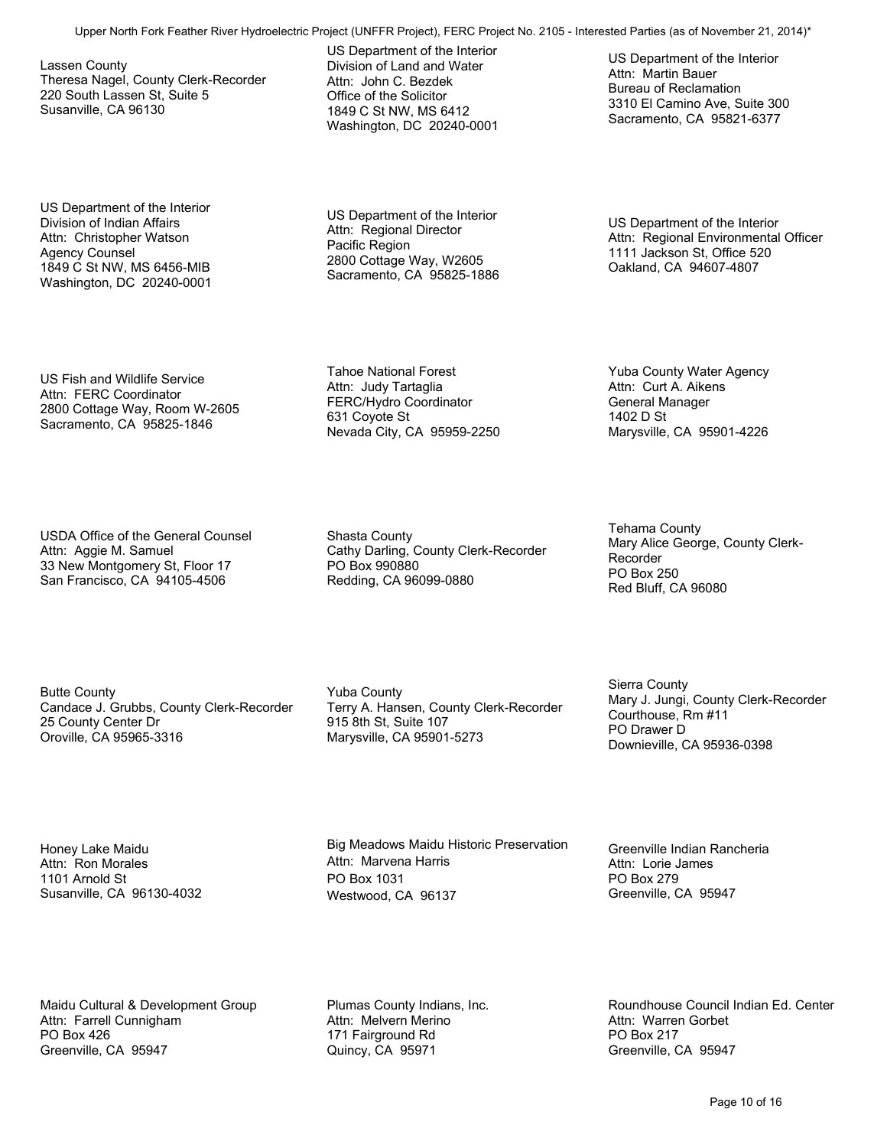Lassen County Theresa Nagel, County Clerk-Recorder 220 South Lassen St, Suite 5 Susanville, CA 96130

US Department of the Interior Division of Indian Affairs Attn: Christopher Watson Agency Counsel 1849 C St NW, MS 6456-MIB Washington, DC 20240-0001 US Department of the Interior Division of Land and Water Attn: John C. Bezdek Office of the Solicitor 1849 C St NW, MS 6412 Washington, DC 20240-0001

US Department of the Interior Attn: Regional Director Pacific Region 2800 Cottage Way, W2605 Sacramento, CA 95825-1886

Tahoe National Forest Attn: Judy Tartaglia FERC/Hydro Coordinator

631 Coyote St

US Department of the Interior Attn: Regional Environmental Officer 1111 Jackson St, Office 520 Oakland, CA 94607-4807

Yuba County Water Agency Attn: Curt A. Aikens General Manager 1402 D St

Marysville, CA 95901-4226

US Department of the Interior

3310 El Camino Ave, Suite 300 Sacramento, CA 95821-6377

Attn: Martin Bauer Bureau of Reclamation

US Fish and Wildlife Service Attn: FERC Coordinator 2800 Cottage Way, Room W-2605 Sacramento, CA 95825-1846

USDA Office of the General Counsel Attn: Aggie M. Samuel 33 New Montgomery St, Floor 17 San Francisco, CA 94105-4506

Nevada City, CA 95959-2250

Shasta County Cathy Darling, County Clerk-Recorder PO Box 990880 Redding, CA 96099-0880

Butte County Candace J. Grubbs, County Clerk-Recorder 25 County Center Dr Oroville, CA 95965-3316

Yuba County Terry A. Hansen, County Clerk-Recorder 915 8th St, Suite 107 Marysville, CA 95901-5273

Tehama County Mary Alice George, County Clerk-Recorder PO Box 250 Red Bluff, CA 96080

Sierra County Mary J. Jungi, County Clerk-Recorder Courthouse, Rm #11 PO Drawer D Downieville, CA 95936-0398

Honey Lake Maidu Attn: Ron Morales 1101 Arnold St Susanville, CA 96130-4032

Big Meadows Maidu Historic Preservation Attn: Marvena Harris PO Box 1031 Westwood, CA 96137 Upper North Fork Forest Control Transportation of the North Forest Control Transportation of the North Forest Control North Forest Control No. 2105 - Interest No. 2105 - Interest No. 2105 - Interest No. 2105 - Interest No

Greenville Indian Rancheria Attn: Lorie James PO Box 279 Greenville, CA 95947

Maidu Cultural & Development Group Attn: Farrell Cunnigham PO Box 426 Greenville, CA 95947

Plumas County Indians, Inc. Attn: Melvern Merino 171 Fairground Rd Quincy, CA 95971

Roundhouse Council Indian Ed. Center Attn: Warren Gorbet PO Box 217 Greenville, CA 95947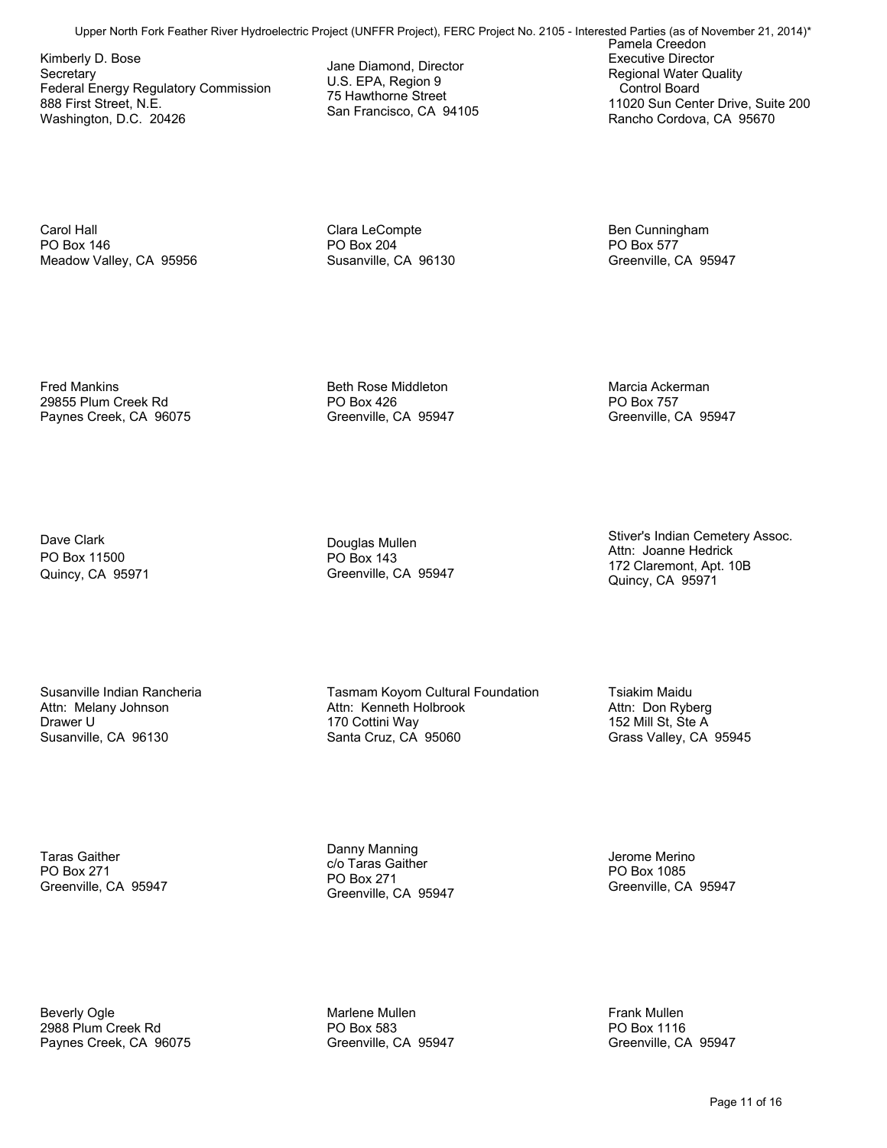Kimberly D. Bose **Secretary** Federal Energy Regulatory Commission 888 First Street, N.E. Washington, D.C. 20426

Jane Diamond, Director U.S. EPA, Region 9 75 Hawthorne Street San Francisco, CA 94105

Pamela Creedon Executive Director Regional Water Quality Control Board 11020 Sun Center Drive, Suite 200 Rancho Cordova, CA 95670 Upper North Formula Content For Feather River (UNFFR Projectric Projectric Projectric Projectric Projectric Projectric Projectric Projectric Projectric Projectric Projectric Projectric Projectric Projectric Projectric Proj

Carol Hall PO Box 146 Meadow Valley, CA 95956

Clara LeCompte PO Box 204 Susanville, CA 96130 Ben Cunningham PO Box 577 Greenville, CA 95947

Marcia Ackerman PO Box 757

Greenville, CA 95947

Fred Mankins 29855 Plum Creek Rd Paynes Creek, CA 96075

Dave Clark PO Box 11500 Quincy, CA 95971 Beth Rose Middleton PO Box 426 Greenville, CA 95947

Douglas Mullen PO Box 143 Greenville, CA 95947 Stiver's Indian Cemetery Assoc. Attn: Joanne Hedrick 172 Claremont, Apt. 10B Quincy, CA 95971

Susanville Indian Rancheria Attn: Melany Johnson Drawer U Susanville, CA 96130

Tasmam Koyom Cultural Foundation Attn: Kenneth Holbrook 170 Cottini Way Santa Cruz, CA 95060

Tsiakim Maidu Attn: Don Ryberg 152 Mill St, Ste A Grass Valley, CA 95945

Taras Gaither PO Box 271 Greenville, CA 95947 Danny Manning c/o Taras Gaither PO Box 271 Greenville, CA 95947

Jerome Merino PO Box 1085 Greenville, CA 95947

Beverly Ogle 2988 Plum Creek Rd Paynes Creek, CA 96075

Marlene Mullen PO Box 583 Greenville, CA 95947 Frank Mullen PO Box 1116 Greenville, CA 95947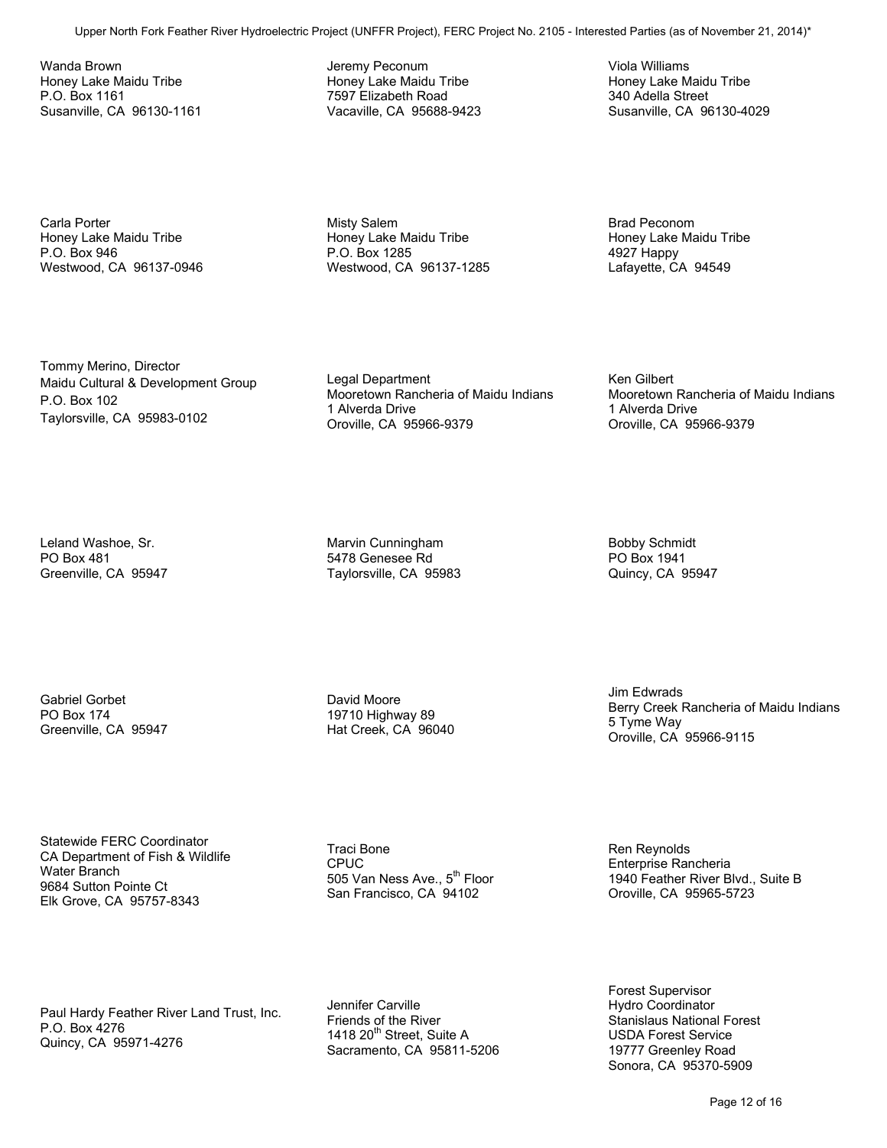Wanda Brown Honey Lake Maidu Tribe P.O. Box 1161 Susanville, CA 96130-1161

Jeremy Peconum Honey Lake Maidu Tribe 7597 Elizabeth Road Vacaville, CA 95688-9423 Viola Williams Honey Lake Maidu Tribe 340 Adella Street Susanville, CA 96130-4029

Carla Porter Honey Lake Maidu Tribe P.O. Box 946 Westwood, CA 96137-0946 Misty Salem Honey Lake Maidu Tribe P.O. Box 1285 Westwood, CA 96137-1285 Brad Peconom Honey Lake Maidu Tribe 4927 Happy Lafayette, CA 94549

Tommy Merino, Director Maidu Cultural & Development Group P.O. Box 102 Taylorsville, CA 95983-0102

Legal Department Mooretown Rancheria of Maidu Indians 1 Alverda Drive Oroville, CA 95966-9379 Upper North Fork Faster River River River (UNFFR Projectric Projectric Projectric Projectric Projectric Project<br>
University and the state of North Force North Force No. 2013<br>
Upper North Force Transfer Contents (as of Nove

Ken Gilbert Mooretown Rancheria of Maidu Indians 1 Alverda Drive Oroville, CA 95966-9379

Leland Washoe, Sr. PO Box 481 Greenville, CA 95947 Marvin Cunningham 5478 Genesee Rd Taylorsville, CA 95983 Bobby Schmidt PO Box 1941 Quincy, CA 95947

Gabriel Gorbet PO Box 174 Greenville, CA 95947 David Moore 19710 Highway 89 Hat Creek, CA 96040 Jim Edwrads Berry Creek Rancheria of Maidu Indians 5 Tyme Way Oroville, CA 95966-9115

Statewide FERC Coordinator CA Department of Fish & Wildlife Water Branch 9684 Sutton Pointe Ct Elk Grove, CA 95757-8343

Traci Bone CPUC 505 Van Ness Ave., 5<sup>th</sup> Floor San Francisco, CA 94102

Paul Hardy Feather River Land Trust, Inc. P.O. Box 4276 Quincy, CA 95971-4276

Jennifer Carville Friends of the River 1418 20<sup>th</sup> Street, Suite A Sacramento, CA 95811-5206

Ren Reynolds Enterprise Rancheria 1940 Feather River Blvd., Suite B Oroville, CA 95965-5723

Forest Supervisor Hydro Coordinator Stanislaus National Forest USDA Forest Service 19777 Greenley Road Sonora, CA 95370-5909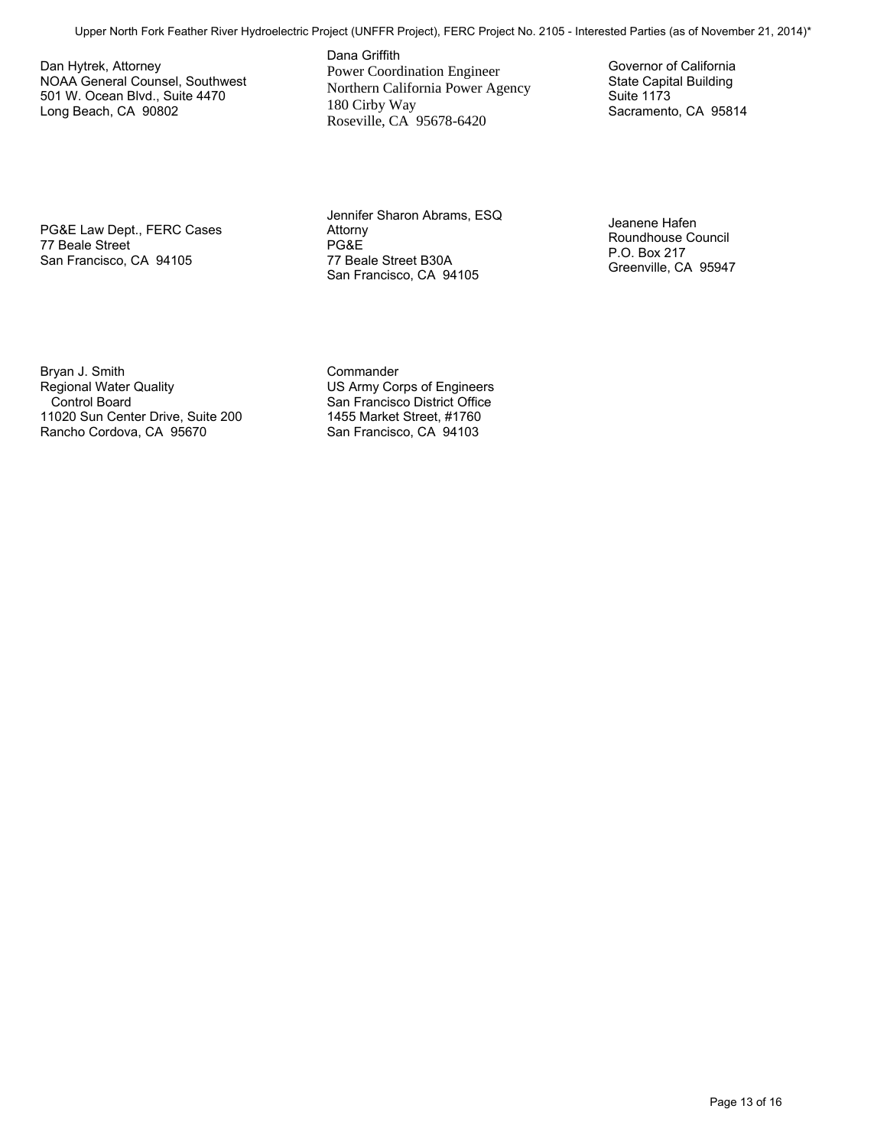Dan Hytrek, Attorney NOAA General Counsel, Southwest 501 W. Ocean Blvd., Suite 4470 Long Beach, CA 90802

Dana Griffith Power Coordination Engineer Northern California Power Agency 180 Cirby Way Roseville, CA 95678-6420 Upper North Formstrand Foreign Collections (Projectric Projectric Projectric Projectric Projectric Projectric Projectric Projectric Projectric Projectric Projectric Projectric Projectric Projectric Projectric Projectric Pr

Governor of California State Capital Building Suite 1173 Sacramento, CA 95814

PG&E Law Dept., FERC Cases 77 Beale Street San Francisco, CA 94105

Jennifer Sharon Abrams, ESQ Attorny PG&E 77 Beale Street B30A San Francisco, CA 94105

Jeanene Hafen Roundhouse Council P.O. Box 217 Greenville, CA 95947

Bryan J. Smith Regional Water Quality Control Board 11020 Sun Center Drive, Suite 200 Rancho Cordova, CA 95670

**Commander** US Army Corps of Engineers San Francisco District Office 1455 Market Street, #1760 San Francisco, CA 94103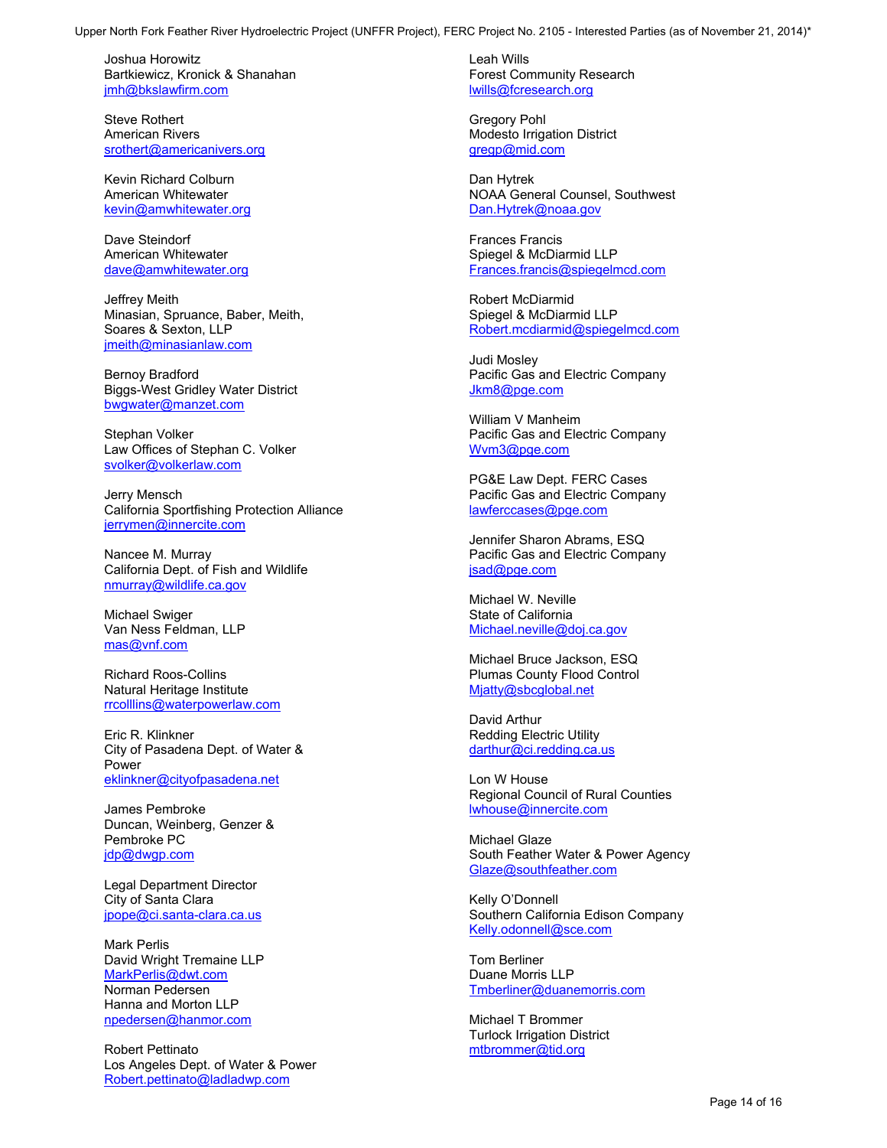Joshua Horowitz Bartkiewicz, Kronick & Shanahan jmh@bkslawfirm.com

Steve Rothert American Rivers srothert@americanivers.org

Kevin Richard Colburn American Whitewater kevin@amwhitewater.org

Dave Steindorf American Whitewater dave@amwhitewater.org

Jeffrey Meith Minasian, Spruance, Baber, Meith, Soares & Sexton, LLP jmeith@minasianlaw.com

Bernoy Bradford Biggs-West Gridley Water District bwgwater@manzet.com

Stephan Volker Law Offices of Stephan C. Volker svolker@volkerlaw.com

Jerry Mensch California Sportfishing Protection Alliance jerrymen@innercite.com

Nancee M. Murray California Dept. of Fish and Wildlife nmurray@wildlife.ca.gov

Michael Swiger Van Ness Feldman, LLP mas@vnf.com

Richard Roos-Collins Natural Heritage Institute rrcolllins@waterpowerlaw.com

Eric R. Klinkner City of Pasadena Dept. of Water & Power eklinkner@cityofpasadena.net

James Pembroke Duncan, Weinberg, Genzer & Pembroke PC jdp@dwgp.com

Legal Department Director City of Santa Clara jpope@ci.santa-clara.ca.us

Mark Perlis David Wright Tremaine LLP MarkPerlis@dwt.com Norman Pedersen Hanna and Morton LLP npedersen@hanmor.com Upper North Form Tower Hydroelectric Projection 2002. The Hydroelectric Projection 2003<br>
Substitution 2003. The Company of North Form Tower Hydroelectric Projection 2003.<br>
Months For the Company of November 21, 2013. The

Robert Pettinato Los Angeles Dept. of Water & Power Robert.pettinato@ladladwp.com

Leah Wills Forest Community Research lwills@fcresearch.org

Gregory Pohl Modesto Irrigation District gregp@mid.com

Dan Hytrek NOAA General Counsel, Southwest Dan.Hytrek@noaa.gov

Frances Francis Spiegel & McDiarmid LLP Frances.francis@spiegelmcd.com

Robert McDiarmid Spiegel & McDiarmid LLP Robert.mcdiarmid@spiegelmcd.com

Judi Mosley Pacific Gas and Electric Company Jkm8@pge.com

William V Manheim Pacific Gas and Electric Company Wvm3@pge.com

PG&E Law Dept. FERC Cases Pacific Gas and Electric Company lawferccases@pge.com

Jennifer Sharon Abrams, ESQ Pacific Gas and Electric Company jsad@pge.com

Michael W. Neville State of California Michael.neville@doj.ca.gov

Michael Bruce Jackson, ESQ Plumas County Flood Control Mjatty@sbcglobal.net

David Arthur Redding Electric Utility darthur@ci.redding.ca.us

Lon W House Regional Council of Rural Counties lwhouse@innercite.com

Michael Glaze South Feather Water & Power Agency Glaze@southfeather.com

Kelly O'Donnell Southern California Edison Company Kelly.odonnell@sce.com

Tom Berliner Duane Morris LLP Tmberliner@duanemorris.com

Michael T Brommer Turlock Irrigation District mtbrommer@tid.org